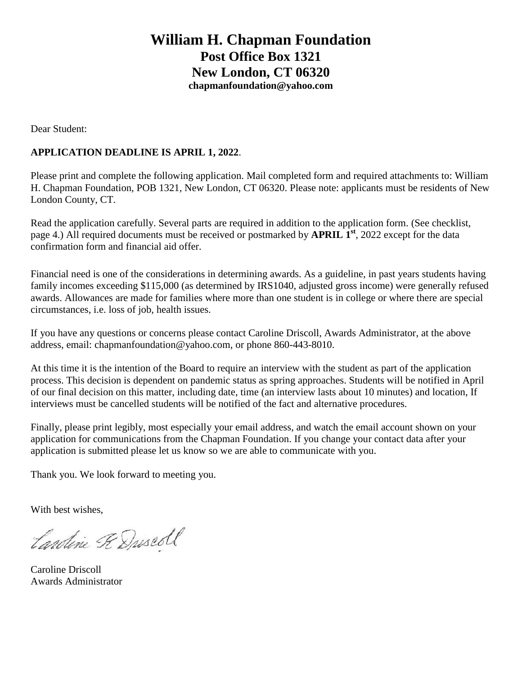## **William H. Chapman Foundation Post Office Box 1321 New London, CT 06320 chapmanfoundation@yahoo.com**

Dear Student:

#### **APPLICATION DEADLINE IS APRIL 1, 2022**.

Please print and complete the following application. Mail completed form and required attachments to: William H. Chapman Foundation, POB 1321, New London, CT 06320. Please note: applicants must be residents of New London County, CT.

Read the application carefully. Several parts are required in addition to the application form. (See checklist, page 4.) All required documents must be received or postmarked by **APRIL 1st**, 2022 except for the data confirmation form and financial aid offer.

Financial need is one of the considerations in determining awards. As a guideline, in past years students having family incomes exceeding \$115,000 (as determined by IRS1040, adjusted gross income) were generally refused awards. Allowances are made for families where more than one student is in college or where there are special circumstances, i.e. loss of job, health issues.

If you have any questions or concerns please contact Caroline Driscoll, Awards Administrator, at the above address, email: chapmanfoundation@yahoo.com, or phone 860-443-8010.

At this time it is the intention of the Board to require an interview with the student as part of the application process. This decision is dependent on pandemic status as spring approaches. Students will be notified in April of our final decision on this matter, including date, time (an interview lasts about 10 minutes) and location, If interviews must be cancelled students will be notified of the fact and alternative procedures.

Finally, please print legibly, most especially your email address, and watch the email account shown on your application for communications from the Chapman Foundation. If you change your contact data after your application is submitted please let us know so we are able to communicate with you.

Thank you. We look forward to meeting you.

With best wishes,

Landine Fe Duscoll

Caroline Driscoll Awards Administrator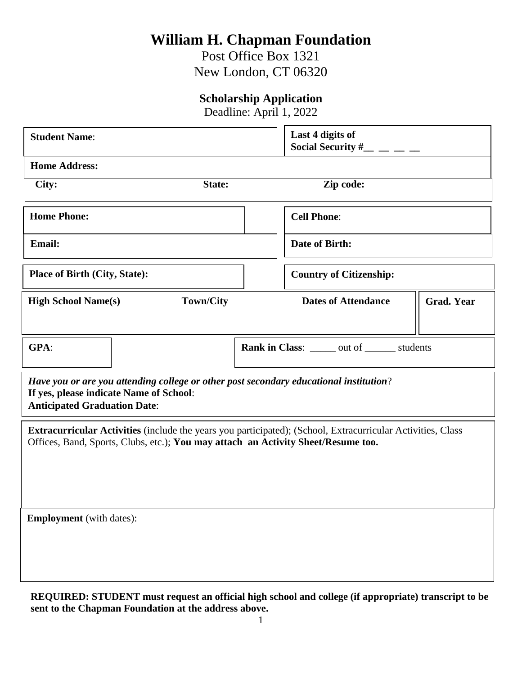# **William H. Chapman Foundation**

Post Office Box 1321 New London, CT 06320

### **Scholarship Application**

Deadline: April 1, 2022

| <b>Student Name:</b>                                                                                                                                                                             |        | Last 4 digits of<br>Social Security #_               |                   |  |
|--------------------------------------------------------------------------------------------------------------------------------------------------------------------------------------------------|--------|------------------------------------------------------|-------------------|--|
| <b>Home Address:</b>                                                                                                                                                                             |        |                                                      |                   |  |
| City:                                                                                                                                                                                            | State: | Zip code:                                            |                   |  |
| <b>Home Phone:</b>                                                                                                                                                                               |        | <b>Cell Phone:</b>                                   |                   |  |
| <b>Email:</b>                                                                                                                                                                                    |        | Date of Birth:                                       |                   |  |
| <b>Place of Birth (City, State):</b>                                                                                                                                                             |        | <b>Country of Citizenship:</b>                       |                   |  |
| <b>Town/City</b><br><b>High School Name(s)</b>                                                                                                                                                   |        | <b>Dates of Attendance</b>                           | <b>Grad. Year</b> |  |
| GPA:                                                                                                                                                                                             |        | <b>Rank in Class:</b> ______ out of _______ students |                   |  |
| Have you or are you attending college or other post secondary educational institution?<br>If yes, please indicate Name of School:<br><b>Anticipated Graduation Date:</b>                         |        |                                                      |                   |  |
| Extracurricular Activities (include the years you participated); (School, Extracurricular Activities, Class<br>Offices, Band, Sports, Clubs, etc.); You may attach an Activity Sheet/Resume too. |        |                                                      |                   |  |
| <b>Employment</b> (with dates):                                                                                                                                                                  |        |                                                      |                   |  |

**REQUIRED: STUDENT must request an official high school and college (if appropriate) transcript to be sent to the Chapman Foundation at the address above.**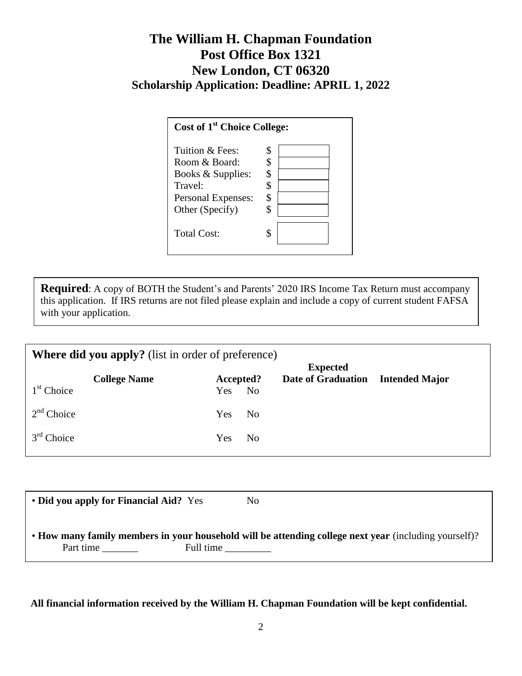# **The William H. Chapman Foundation Post Office Box 1321 New London, CT 06320 Scholarship Application: Deadline: APRIL 1, 2022**

| Cost of 1 <sup>st</sup> Choice College: |    |  |
|-----------------------------------------|----|--|
| Tuition & Fees:                         | S  |  |
| Room & Board:                           |    |  |
| Books & Supplies:                       | \$ |  |
| Travel:                                 |    |  |
| Personal Expenses:                      |    |  |
| Other (Specify)                         |    |  |
| <b>Total Cost:</b>                      |    |  |

**Required**: A copy of BOTH the Student's and Parents' 2020 IRS Income Tax Return must accompany this application. If IRS returns are not filed please explain and include a copy of current student FAFSA with your application.

| <b>Where did you apply?</b> (list in order of preference) |                     |                              |                                              |                       |
|-----------------------------------------------------------|---------------------|------------------------------|----------------------------------------------|-----------------------|
|                                                           |                     |                              | <b>Expected</b><br><b>Date of Graduation</b> | <b>Intended Major</b> |
| $1st$ Choice                                              | <b>College Name</b> | Accepted?<br>Yes No          |                                              |                       |
| $2nd$ Choice                                              |                     | Yes<br>N <sub>o</sub>        |                                              |                       |
| $3rd$ Choice                                              |                     | <b>Yes</b><br>N <sub>0</sub> |                                              |                       |
|                                                           |                     |                              |                                              |                       |

| • Did you apply for Financial Aid? Yes |           | No.                                                                                                   |
|----------------------------------------|-----------|-------------------------------------------------------------------------------------------------------|
| Part time                              | Full time | • How many family members in your household will be attending college next year (including yourself)? |

**All financial information received by the William H. Chapman Foundation will be kept confidential.**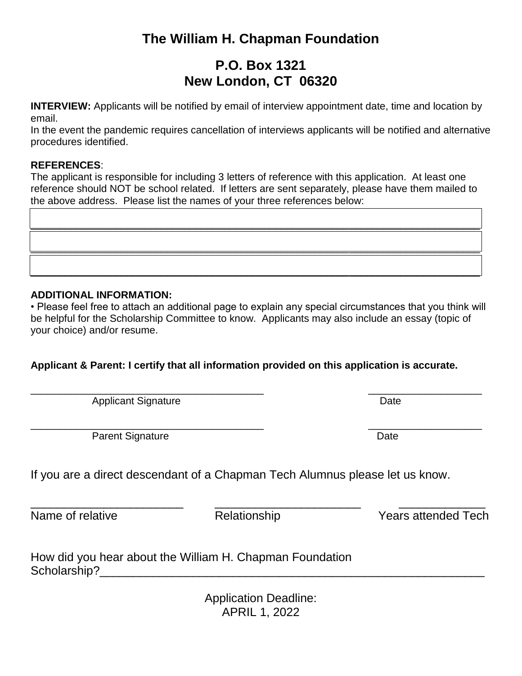# **The William H. Chapman Foundation**

# **P.O. Box 1321 New London, CT 06320**

**INTERVIEW:** Applicants will be notified by email of interview appointment date, time and location by email.

In the event the pandemic requires cancellation of interviews applicants will be notified and alternative procedures identified.

#### **REFERENCES**:

The applicant is responsible for including 3 letters of reference with this application. At least one reference should NOT be school related. If letters are sent separately, please have them mailed to the above address. Please list the names of your three references below:

\_\_\_\_\_\_\_\_\_\_\_\_\_\_\_\_\_\_\_\_\_\_\_\_\_\_\_\_\_\_\_\_\_\_\_\_\_\_\_\_\_\_\_\_\_\_\_\_\_\_\_\_\_\_\_\_\_\_\_\_\_\_\_\_\_\_\_\_\_\_\_\_\_\_\_\_\_\_\_

\_\_\_\_\_\_\_\_\_\_\_\_\_\_\_\_\_\_\_\_\_\_\_\_\_\_\_\_\_\_\_\_\_\_\_\_\_\_\_\_\_\_\_\_\_\_\_\_\_\_\_\_\_\_\_\_\_\_\_\_\_\_\_\_\_\_\_\_\_\_\_\_\_\_\_\_\_\_\_

\_\_\_\_\_\_\_\_\_\_\_\_\_\_\_\_\_\_\_\_\_\_\_\_\_\_\_\_\_\_\_\_\_\_\_\_\_\_\_\_\_\_\_\_\_\_\_\_\_\_\_\_\_\_\_\_\_\_\_\_\_\_\_\_\_\_\_\_\_\_\_\_\_\_\_\_\_\_\_

#### **ADDITIONAL INFORMATION:**

• Please feel free to attach an additional page to explain any special circumstances that you think will be helpful for the Scholarship Committee to know. Applicants may also include an essay (topic of your choice) and/or resume.

### **Applicant & Parent: I certify that all information provided on this application is accurate.**

 $\overline{\phantom{a}}$  , and the contribution of the contribution of the contribution of the contribution of  $\overline{\phantom{a}}$  , and  $\overline{\phantom{a}}$ Applicant Signature Date Date

 $\overline{a_1}$  ,  $\overline{a_2}$  ,  $\overline{a_3}$  ,  $\overline{a_4}$  ,  $\overline{a_5}$  ,  $\overline{a_6}$  ,  $\overline{a_7}$  ,  $\overline{a_8}$  ,  $\overline{a_9}$  ,  $\overline{a_9}$  ,  $\overline{a_9}$  ,  $\overline{a_9}$  ,  $\overline{a_9}$  ,  $\overline{a_9}$  ,  $\overline{a_9}$  ,  $\overline{a_9}$  ,  $\overline{a_9}$  , Parent Signature Date Date

If you are a direct descendant of a Chapman Tech Alumnus please let us know.

\_\_\_\_\_\_\_\_\_\_\_\_\_\_\_\_\_\_\_\_\_\_\_ \_\_\_\_\_\_\_\_\_\_\_\_\_\_\_\_\_\_\_\_\_\_ \_\_\_\_\_\_\_\_\_\_\_\_\_

Name of relative Tech Relationship Name of relative Relationship Nears attended Tech

How did you hear about the William H. Chapman Foundation Scholarship?

> Application Deadline: APRIL 1, 2022